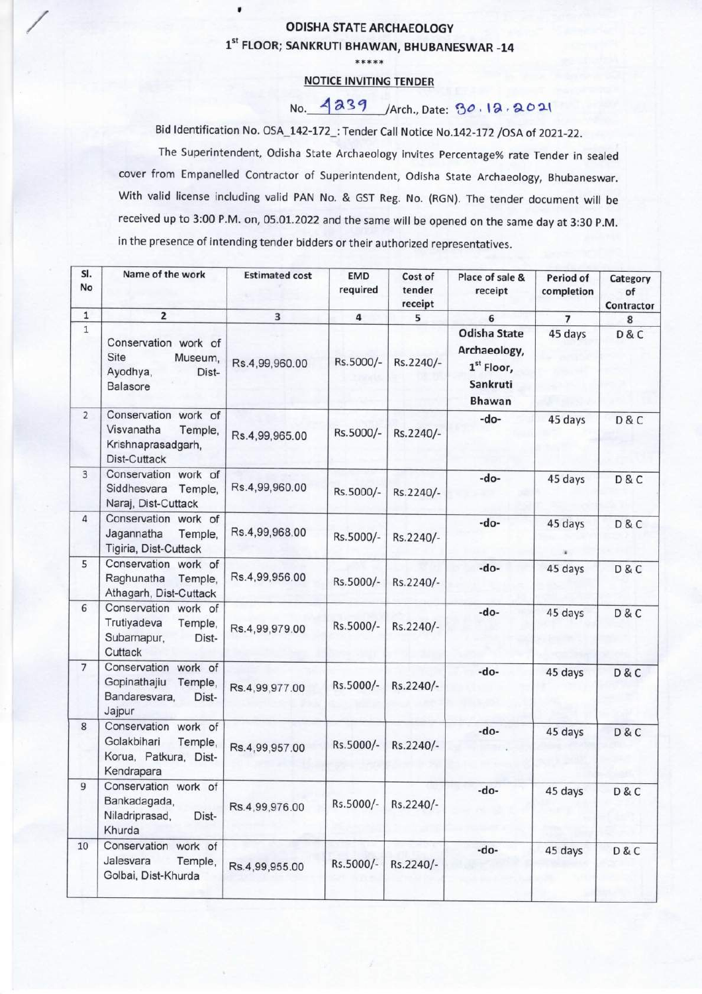## ODISHA STATE ARCHAEOLOGY 1st FLOOR; SANKRUTI BHAWAN, BHUBANESWAR -14

\*\*\*\*\*

## NOTICE INVITING TENDER

## No. 4239 / Arch., Date: 30.12.2021

Bid Identification No. OSA\_142-172\_: Tender Call Notice No.142-172 /OSA of 2021-22.

The Superintendent, Odisha State Archaeology invites Percentage% rate Tender in sealed cover from Empanelled Contractor of Superintendent, Odisha State Archaeology, Bhubaneswar. With valid license including valid PAN No. & GST Reg. No. (RGN). The tender document will be received up to 3:00 P.M. on, 05.01.2022 and the same will be opened on the same day at 3:30 P.M. in the presence of intending tender bidders or their authorized representatives.

| SI.<br>No      | Name of the work                                                                      | <b>Estimated cost</b> | <b>EMD</b><br>required | Cost of<br>tender<br>receipt | Place of sale &<br>receipt                                                       | Period of<br>completion | Category<br>of<br>Contractor |
|----------------|---------------------------------------------------------------------------------------|-----------------------|------------------------|------------------------------|----------------------------------------------------------------------------------|-------------------------|------------------------------|
| $\mathbf 1$    | $\overline{\mathbf{2}}$                                                               | 3                     | 4                      | 5                            | 6                                                                                | $\overline{7}$          | 8                            |
| $\mathbf 1$    | Conservation work of<br>Site<br>Museum,<br>Ayodhya,<br>Dist-<br>Balasore              | Rs.4,99,960.00        | Rs.5000/-              | Rs.2240/-                    | <b>Odisha State</b><br>Archaeology,<br>$1st$ Floor,<br>Sankruti<br><b>Bhawan</b> | 45 days                 | D&C                          |
| $\overline{2}$ | Conservation work of<br>Visvanatha<br>Temple,<br>Krishnaprasadgarh,<br>Dist-Cuttack   | Rs.4,99,965.00        | Rs.5000/-              | Rs.2240/-                    | -do-                                                                             | 45 days                 | D&C                          |
| 3              | Conservation work of<br>Siddhesvara<br>Temple,<br>Naraj, Dist-Cuttack                 | Rs.4,99,960.00        | Rs.5000/-              | Rs.2240/-                    | -do-                                                                             | 45 days                 | D & C                        |
| 4              | Conservation work of<br>Jagannatha<br>Temple,<br>Tigiria, Dist-Cuttack                | Rs.4,99,968.00        | Rs.5000/-              | Rs.2240/-                    | -do-                                                                             | 45 days                 | D & C                        |
| 5              | Conservation work of<br>Raghunatha<br>Temple,<br>Athagarh, Dist-Cuttack               | Rs.4,99,956.00        | Rs.5000/-              | Rs.2240/-                    | -do-                                                                             | 45 days                 | D&C                          |
| 6              | Conservation work of<br>Trutiyadeva<br>Temple,<br>Subarnapur,<br>Dist-<br>Cuttack     | Rs.4,99,979.00        | Rs.5000/-              | Rs.2240/-                    | -do-                                                                             | 45 days                 | <b>D&amp;C</b>               |
| $\overline{7}$ | Conservation work of<br>Gopinathajiu<br>Temple,<br>Bandaresvara,<br>Dist-<br>Jajpur   | Rs.4,99,977.00        | Rs.5000/-              | Rs.2240/-                    | -do-                                                                             | 45 days                 | D&C                          |
| 8              | Conservation work of<br>Golakbihari<br>Temple,<br>Korua, Patkura, Dist-<br>Kendrapara | Rs.4,99,957.00        | Rs.5000/-              | Rs.2240/-                    | -do-                                                                             | 45 days                 | D & C                        |
| 9              | Conservation work of<br>Bankadagada,<br>Niladriprasad,<br>Dist-<br>Khurda             | Rs.4,99,976.00        | Rs.5000/-              | Rs.2240/-                    | -do-                                                                             | 45 days                 | D & C                        |
| 10             | Conservation work of<br>Jalesvara<br>Temple,<br>Golbai, Dist-Khurda                   | Rs.4,99,955.00        | Rs.5000/-              | Rs.2240/-                    | -do-                                                                             | 45 days                 | D & C                        |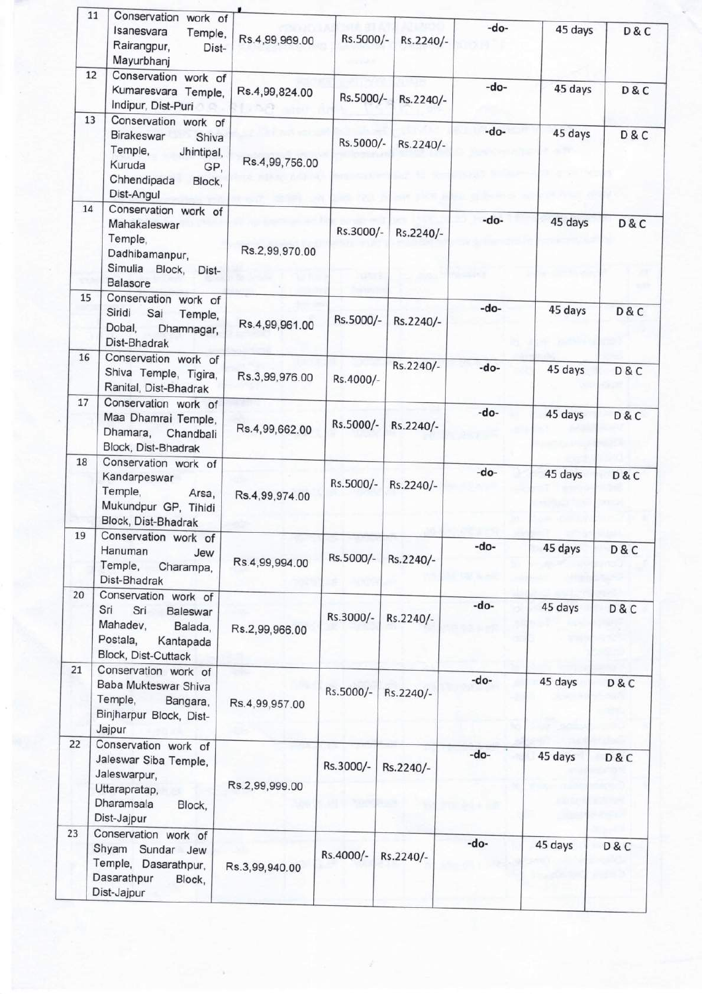|    | 11<br>Conservation work of<br>Isanesvara<br>Temple,<br>Rairangpur,<br>Dist-<br>Mayurbhanj                                                 | Rs.4,99,969.00 | Rs.5000/- | Rs.2240/- | -do- | 45 days | D&C            |
|----|-------------------------------------------------------------------------------------------------------------------------------------------|----------------|-----------|-----------|------|---------|----------------|
|    | 12<br>Conservation work of<br>Kumaresvara Temple,<br>Indipur, Dist-Puri                                                                   | Rs.4,99,824.00 | Rs.5000/- | Rs.2240/- | -do- | 45 days | D & C          |
|    | 13<br>Conservation work of<br><b>Birakeswar</b><br>Shiva<br>Temple,<br>Jhintipal,<br>Kuruda<br>GP,<br>Chhendipada<br>Block,<br>Dist-Angul | Rs.4,99,756.00 | Rs.5000/- | Rs.2240/- | -do- | 45 days | D & C          |
| 14 | Conservation work of<br>Mahakaleswar<br>Temple,<br>Dadhibamanpur,<br>Simulia Block,<br>Dist-<br><b>Balasore</b>                           | Rs.2,99,970.00 | Rs.3000/- | Rs.2240/- | -do- | 45 days | D & C          |
| 15 | Conservation work of<br>Siridi<br>Sai<br>Temple,<br>Dobal,<br>Dhamnagar,<br>Dist-Bhadrak                                                  | Rs.4,99,961.00 | Rs.5000/- | Rs.2240/- | -do- | 45 days | D&C            |
| 16 | Conservation work of<br>Shiva Temple, Tigira,<br>Ranital, Dist-Bhadrak                                                                    | Rs.3,99,976.00 | Rs.4000/- | Rs.2240/- | -do- | 45 days | <b>D&amp;C</b> |
| 17 | Conservation work of<br>Maa Dhamrai Temple,<br>Dhamara,<br>Chandbali<br>Block, Dist-Bhadrak                                               | Rs.4,99,662.00 | Rs.5000/- | Rs.2240/- | -do- | 45 days | D & C          |
| 18 | Conservation work of<br>Kandarpeswar<br>Temple,<br>Arsa,<br>Mukundpur GP, Tihidi<br>Block, Dist-Bhadrak                                   | Rs.4,99,974.00 | Rs.5000/- | Rs.2240/- | -do- | 45 days | D & C          |
| 19 | Conservation work of<br>Hanuman<br>Jew<br>Temple,<br>Charampa,<br>Dist-Bhadrak                                                            | Rs.4,99,994.00 | Rs.5000/- | Rs.2240/- | -do- | 45 days | <b>D&amp;C</b> |
| 20 | Conservation work of<br>Sri<br>Sri<br><b>Baleswar</b><br>Mahadev,<br>Balada,<br>Postala,<br>Kantapada<br>Block, Dist-Cuttack              | Rs.2,99,966.00 | Rs.3000/- | Rs.2240/- | -do- | 45 days | D&C            |
| 21 | Conservation work of<br>Baba Mukteswar Shiva<br>Temple,<br>Bangara,<br>Binjharpur Block, Dist-<br>Jajpur                                  | Rs.4,99,957.00 | Rs.5000/- | Rs.2240/- | -do- | 45 days | D&C            |
| 22 | Conservation work of<br>Jaleswar Siba Temple,<br>Jaleswarpur,<br>Uttarapratap,<br>Dharamsala<br>Block,<br>Dist-Jajpur                     | Rs.2,99,999.00 | Rs.3000/- | Rs.2240/- | -do- | 45 days | D&C            |
| 23 | Conservation work of<br>Shyam Sundar Jew<br>Temple, Dasarathpur,<br>Dasarathpur<br>Block,<br>Dist-Jajpur                                  | Rs.3,99,940.00 | Rs.4000/- | Rs.2240/- | -do- | 45 days | D & C          |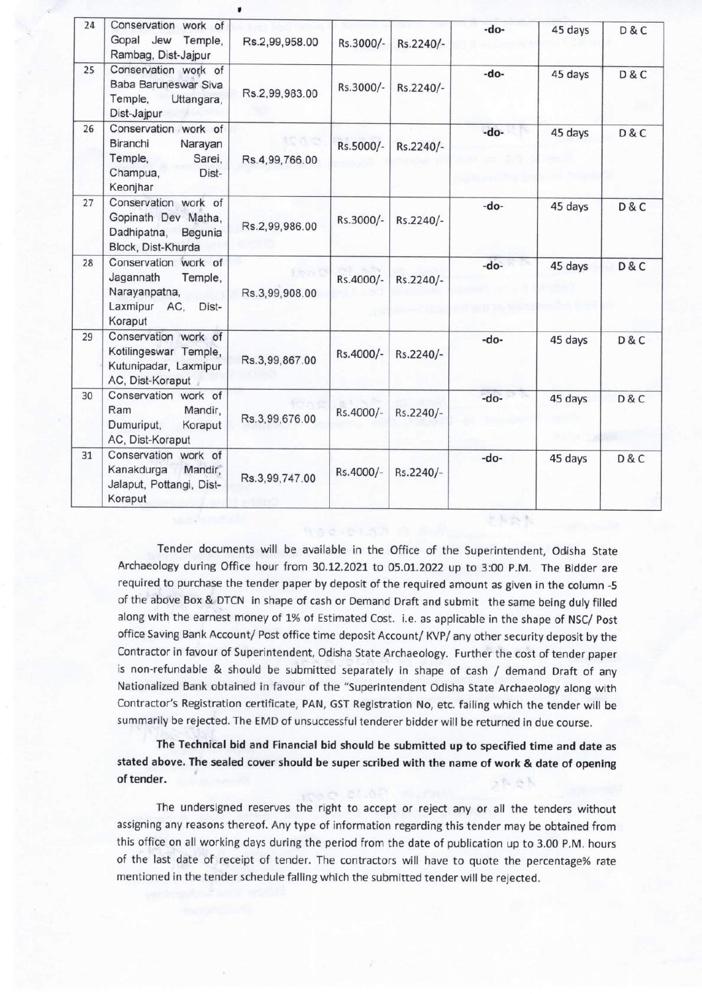| 24 | Conservation work of<br>Gopal Jew<br>Temple,<br>Rambag, Dist-Jajpur                               | Rs.2,99,958.00 | Rs.3000/- | Rs.2240/- | -do-   | 45 days | D & C          |
|----|---------------------------------------------------------------------------------------------------|----------------|-----------|-----------|--------|---------|----------------|
| 25 | Conservation work of<br>Baba Baruneswar Siva<br>Temple,<br>Uttangara,<br>Dist-Jajpur              | Rs.2,99,983.00 | Rs.3000/- | Rs.2240/- | -do-   | 45 days | D & C          |
| 26 | Conservation work of<br>Biranchi<br>Narayan<br>Temple,<br>Sarei,<br>Champua,<br>Dist-<br>Keonjhar | Rs.4,99,766.00 | Rs.5000/- | Rs.2240/- | -do-   | 45 days | D & C          |
| 27 | Conservation work of<br>Gopinath Dev Matha,<br>Dadhipatna,<br>Begunia<br>Block, Dist-Khurda       | Rs.2,99,986.00 | Rs.3000/- | Rs.2240/- | $-do-$ | 45 days | D & C          |
| 28 | Conservation work of<br>Jagannath<br>Temple,<br>Narayanpatna,<br>Laxmipur AC,<br>Dist-<br>Koraput | Rs.3,99,908.00 | Rs.4000/- | Rs.2240/- | -do-   | 45 days | D & C          |
| 29 | Conservation work of<br>Kotilingeswar Temple,<br>Kutunipadar, Laxmipur<br>AC, Dist-Koraput        | Rs.3,99,867.00 | Rs.4000/- | Rs.2240/- | $-do-$ | 45 days | D & C          |
| 30 | Conservation work of<br>Ram<br>Mandir,<br>Dumuriput,<br>Koraput<br>AC, Dist-Koraput               | Rs.3,99,676.00 | Rs.4000/- | Rs.2240/- | -do-   | 45 days | <b>D&amp;C</b> |
| 31 | Conservation work of<br>Kanakdurga<br>Mandir,<br>Jalaput, Pottangi, Dist-<br>Koraput              | Rs.3,99,747.00 | Rs.4000/- | Rs.2240/- | -do-   | 45 days | D & C          |

Tender documents will be available in the Office of the Superintendent, Odisha State Archaeology during Office hour from 30.12.2021 to 05.01.2022 up to 3:00 P.M. The Bidder are required to purchase the tender paper by deposit of the required amount as given in the column -5 of the above Box & DTCN in shape of cash or Demand Draft and submit the same being duly filled along with the earnest money of 1% of Estimated Cost. i.e. as applicable in the shape of NSC/ Post office Saving Bank Account/ Post office time deposit Account/ KVP/ any other security deposit by the Contractor in favour of Superintendent, Odisha State Archaeology. Further the cost of tender paper is non-refundable & should be submitted separately in shape of cash / demand Draft of any Nationalized Bank obtained in favour of the "Superintendent Odisha State Archaeology along with Contractor's Registration certificate, PAN, GST Registration No, etc. failing which the tender will be summarily be rejected. The EMD of unsuccessful tenderer bidder will be returned in due course.

The Technical bid and Financial bid should be submitted up to specified time and date as stated above. The sealed cover should be super scribed with the name of work & date of opening of tender.

The undersigned reserves the right to accept or reject any or all the tenders without assigning any reasons thereof. Any type of information regarding this tender may be obtained from this office on all working days during the period from the date of publication up to 3.00 P.M. hours of the last date of receipt of tender. The contractors will have to quote the percentage% rate mentioned in the tender schedule falling which the submitted tender will be rejected.